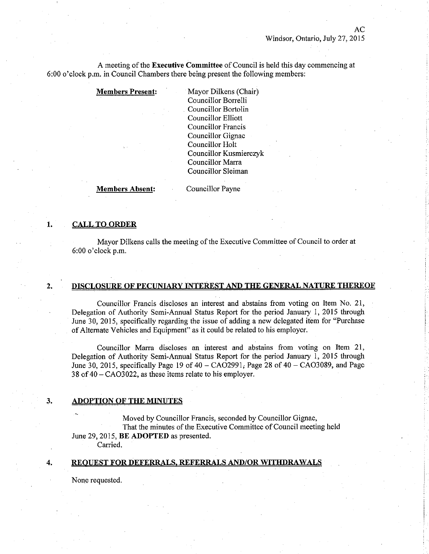AC

A meeting of the Executive Committee of Council is held this day commencing at 6:00 o'clock p.m. in Council Chambers there being present the following members:

Members Present: Mayor Dilkens (Chair) Councillor Borrelli Councillor Bortolin Councillor Elliott Councillor Francis Councillor Gignac Councillor Holt Councillor Kusmierczyk Councillor Marra Councillor Sleiman

Members Absent: Councillor Payne

# **CALL TO ORDER**

 $2.$ 

 $\overline{4}$ .

1.

Mayor Dilkens calls the meeting of the Executive Committee of Council to order at 6:00 o'clock p.m.

### DISCLOSURE OF PECUNIARY INTEREST AND THE GENERAL NATURE THEREOF

Councillor Francis discloses an interest and abstains from voting on Item No. 21, Delegation of Authority Semi-Annual Status Report for the period January 1, 2015 through June 30, 2015, specifically regarding the issue of adding a new delegated item for "Purchase of Altemate Vehicles and Equipment" as it could be related to his employer.

Councillor Marra discloses an interest and abstains from voting on Item 21, Delegation of Authority Semi-Annual Status Report for the period January 1, 2015 through June 30, 2015, specifically Page 19 of  $40 - CAO2991$ ; Page 28 of  $40 - CAO3089$ , and Page <sup>38</sup>of 40 - C4O3022, as these items relate to his employer.

#### **ADOPTION OF THE MINUTES** 3.

Moved by Councillor Francis, seconded by Councillor Gignac,

That the minutes of the Executive Committee of Council meeting held June 29, 2015, BE ADOPTED as presented.

Carried.

# REQUEST FOR DEFERRALS, REFERRALS AND/OR WITHDRAWALS

None requested.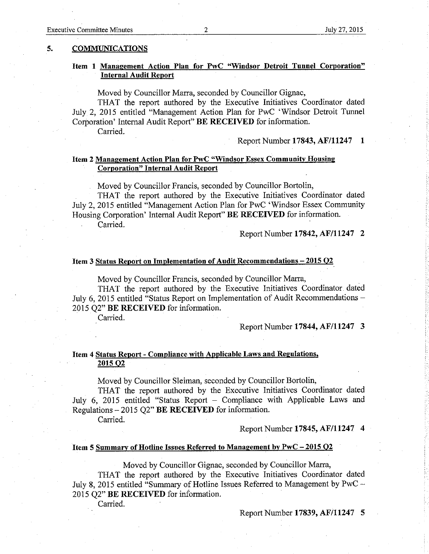# Item I Management Action PIan for PwC "Windsor Detroit Tunnel Corporation" **Internal Audit Report**

Moved by Councillor Marra, seconded by Councillor Gignac,

THAT the report authored by the Executive Initiatives Coordinator dated July 2,2015 entitled "Management Action Plan for PwC 'Windsor Detroit Tunnel Corporation' Internal Audit Report" BE RECEIVED for information. Carried.

Report Number 17843, AF/11247 1

# Item 2 Management Action Plan for PwC "Windsor Essex Community Housing Corporation" Internal Äudit Report

Moved by Councillor Francis, seconded by Councillor Bortolin,

THAT the report authored by the Executive Initiatives Coordinator dated Iuly 2,2015 entitled "Management Action Plan for PwC 'Windsor Essex Community Housing Corporation' Internal Audit Report" BE RECEIVED for information. Carried.

Report Number 17842, Aß/11247 2

# Item 3 Status Report on Implementation of Audit Recommendations - 2015 Q2

Moved by Councillor Francis, seconded by Councillor Marra,

THAT the report authored by the Executive Initiatives Coordinator dated July 6, 2015 entitled "Status Report on Implementation of Audit Recommendations -2015 Q2" BE RECEIVED for information.

Carried.

Report Number 17844, AF/11247 3

# Item 4 Status Report - Compliance with Applicable Laws and Regulations. 2015 Q2

Moved by Councillor Sleiman, seconded by Councillor Bortolin,

THAT the report authored by the Executive Initiatives Coordinator dated July 6, 2015 entitled "Status Report - Compliance with Applicable Laws and Regulations  $-2015$  Q2" BE RECEIVED for information.

Carried.

Report Number 17845, AF/11247 4

#### Item 5 Summary of Hotline Issues Referred to Management by PwC - 2015 O2

Moved by Councillor Gignac, seconded by Councillor Marra,

THAT the report authored by the Executive Initiatives Coordinator dated July 8, 2015 entitled "Summary of Hotline Issues Referred to Management by PwC -2015 Q2" BE RECEIVED for information.

Carried.

Report Number 17839, AF/11247 5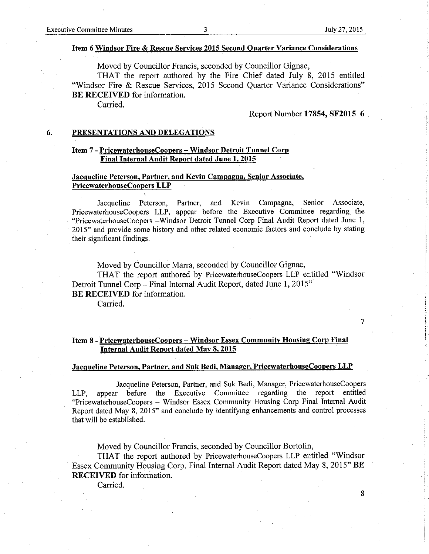## Item 6 Windsor Fire & Rescue Services 2015 Second Ouarter Variance Considerations

Moved by Councillor Francis, seconded by Councillor Gignac,

THAT the report authored by the Fire Chief dated July 8, 2015 entitled "Windsor Fire & Rescue Services, 2015 Second Ouarter Variance Considerations" BE RECEIVED for information.

Carried.

Report Number 17854, SF2015 6

#### PRESENTATIONS AND DELEGATIONS 6.

# Item 7 - PricewaterhouseCoopers - Windsor Detroit Tunnel Corp Final Internal Audit Report dated June 1. 2015

# Jacqueline Peterson. Partner. and Kevin Campagna. Senior Associate. PricewaterhouseCoopers LLP

Jacqueline Peterson, Partner, and Kevin Campagna, Senior Associate, PricewaterhouseCoopers LLP, appear before the Executive Committee regarding the "PricewaterhouseCoopers -Windsor Detroit Tunnel Corp Final Audit Report dated June 1, 2015" and provide some history and other related economic factors and conclude by stating their significant findings.

Moved by Councillor Marra, seconded by Councillor Gignac,

THAT the report authored by PricewaterhouseCoopers LLP entitled "Windsor Detroit Tunnel Corp - Final Internal Audit Report, dated June 1, 2015" BE RECEIVED for information.

Carried.

# Item 8 - PricewaterhouseCoopers - Windsor Essex Community Housing Corp Final Internal Àudit Report dated May 8. 2015

# Jacqueline Peterson. Partner, and Suk Bedi. Mânager. PricewaterhouseCoopers LLP

Jacqueline Peterson, Partner, and Suk Bedi, Manager, PricewaterhouseCoopers LLP, appear before the Executive Committee regarding the report entitled "PricewaterhouseCoopers - Windsor Essex Community Housing Corp Final Intemal Audit Report dated May 8, 2015" and conclude by identifying enhancements and control processes that will be established.

Moved by Councillor Francis, seconded by Councillor Bortolin,

THAT the report authored by PricewaterhouseCoopers LLP entitled "Windsor Essex Community Housing Corp. Final Internal Audit Report dated May 8, 2015" BE RECEIVED for information.

Carried.

7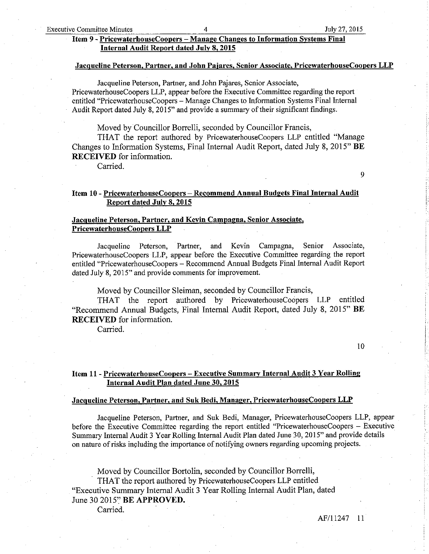# Item 9 - PricewaterhouseCoopers - Manaee Chanees to Information Svstems Final Internal Audit Reoort dated JuIy 8. 2015

## Jacqueline Peterson. Partner. and John Paiares. Senior Associate. PricewaterhouseCoopers LLP

Jacqueline Peterson, Partner, and Jobn Pajares, Senior Associate, PricewaterhouseCoopers LLP, appear before the Executive Committee regarding the report entitled "PricewaterhouseCoopers - Manage Changes to Information Systems Final Interaal Audit Report dated July 8, 2015" and provide a summary of their significant findings.

Moved by Councillor Borrelli, seconded by Councillor Francis,

THAT the report authored by PricewaterhouseCoopers LLP entitled "Manage Changes to Information Systems, Final Intemal Audit Report, dated July 8, 2015" BE RECEIVED for information.

Carried.

9

# Item 10 - PricewaterhouseCoopers - Recommend Annual Budgets Final Internal Audit Report dated July 8, 2015

# Jacqueline Peterson. Partner. and Kevin Campagna. Senior Associate. PricewaterhouseCooners LLP

Jacqueline Peterson, Partner, and Kevin Campagna, Senior Associate, PricewaterhouseCoopers LLP, appear before the Executive Committee regarding the report entitled "PricewaterhouseCoopers - Recommend Annual Budgets Final Intemal Audit Report dated July 8, 2015" and provide comments for improvement.

Moved by Councillor Sleiman, seconded by Councillor Francis,

THAT the report authored by PricewaterhouseCoopers LLP entitled "Recommend Annual Budgets, Final Intemal Audit Report, dated July 8,2015" BE **RECEIVED** for information.

Carried.

10

# Item 11 - <u>PricewaterhouseCoopers – Executive Summary Internal Audit 3 Year Rolling</u><br>Internal Audit Plan dated June 30, 2015

#### Jacqueline Peterson, Partner, and Suk Bedi, Manager, PricewaterhouseCoopers LLP

Jacqueline Peterson, Partner, and Suk Bedi, Manager, PricewaterhouseCoopers LLP, appear before the Executive Committee regarding the report entitled "PricewaterhouseCoopers - Executive Summary Intemal Audit 3 Year Rolling Intemal Audit Plan dated June 30, 2015" and provide details on nature of risks including the importance of notifying owners regarding upcoming projects.

Moved by Councillor Bortolin, seconded by Councillor Borrelli,

THAT the report authored by PricewaterhouseCoopers LLP entitled

"Executive Summary Intemal Audit 3 Year Rolling Intemal Audit Plan, dated June 30 2015" BE APPROVED.

Carried.

AF/11247 l1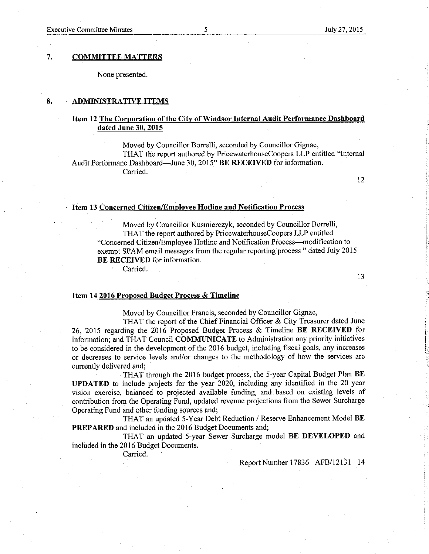#### 7. **COMMITTEE MATTERS**

None presented.

#### 8. **ADMINISTRATIVE ITEMS**

# Item 12 The Corporation of the City of Windsor Internal Audit Performance Dashboard dated June 30, 2015

Moved by Councillor Borrelli, seconded by Councillor Gignac, THAT the report authored by PricewaterhouseCoopers LLP entitled "Internal Audit Performanc Dashboard-June 30, 2015" BE RECEIVED for information. Carried.

12

# Item 13 Concerned Citizen/Employee Hotline and Notification Process

Moved by Councillor Kusmierczyk, seconded by Councillor Borrelli, THAT the report authored by PricewaterhouseCoopers LLP entitled "Concerned Citizen/Employee Hotline and Notification Process—modification to exempt SPAM email messages from the regular reporting process " dated July 2015 **BE RECEIVED** for information.

Carried.

13

# Item 14 2016 Proposed Budget Process & Timeline

Moved by Councillor Francis, seconded by Councillor Gignac,

THAT the report of the Chief Financial Officer & City Treasurer dated June 26, 2015 regarding the 2016 Proposed Budget Process & Timeline BE RECEIVED for information; and THAT Council COMMUNICATE to Administration any priority initiatives to be considered in the development of the 2016 budget, including fiscal goals, any increases or decreases to service levels and/or changes to the methodology of how the services are currently delivered and;

THAT through the 2016 budget process, the 5-year Capital Budget Plan BE **UPDATED** to include projects for the year 2020, including any identified in the 20 year vision exercise, balanced to projected available funding, and based on existing levels of contribution from the Operating Fund, updated revenue projections from the Sewer Surcharge Operating Fund and other funding sources and:

THAT an updated 5-Year Debt Reduction / Reserve Enhancement Model BE **PREPARED** and included in the 2016 Budget Documents and;

THAT an updated 5-year Sewer Surcharge model BE DEVELOPED and included in the 2016 Budget Documents.

Carried.

Report Number 17836 AFB/12131 14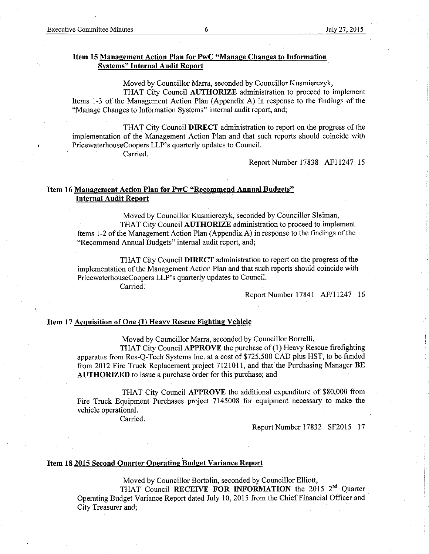# Item 15 Management Action Plan for PwC "Manage Changes to Information **Systems" Internal Audit Report**

Moved by Councillor Marra, seconded by Councillor Kusmierczyk,

THAT City Council AUTHORIZE administration to proceed to implement Items 1-3 of the Management Action Plan (Appendix A) in response to the findings of the "Manage Changes to Information Systems" internal audit report, and;

THAT City Council DIRECT administration to report on the progress of the implementation of the Management Action Plan and that such reports should coincide with PricewaterhouseCoopers LLP's quarterly updates to Council.

Carried.

Report Number 17838 AF11247 15

# Item 16 Management Action Plan for PwC "Recommend Annual Budgets" **Internal Audit Report**

Moved by Councillor Kusmierczyk, seconded by Councillor Sleiman, THAT City Council AUTHORIZE administration to proceed to implement Items 1-2 of the Management Action Plan (Appendix A) in response to the findings of the "Recommend Annual Budgets" internal audit report, and;

THAT City Council DIRECT administration to report on the progress of the implementation of the Management Action Plan and that such reports should coincide with PricewaterhouseCoopers LLP's quarterly updates to Council.

Carried.

Report Number 17841 AF/11247 16

# Item 17 Acquisition of One (1) Heavy Rescue Fighting Vehicle

Moved by Councillor Marra, seconded by Councillor Borrelli, THAT City Council APPROVE the purchase of (1) Heavy Rescue firefighting apparatus from Res-Q-Tech Systems Inc. at a cost of \$725,500 CAD plus HST, to be funded from 2012 Fire Truck Replacement project 7121011, and that the Purchasing Manager BE AUTHORIZED to issue a purchase order for this purchase; and

THAT City Council APPROVE the additional expenditure of \$80,000 from Fire Truck Equipment Purchases project 7145008 for equipment necessary to make the vehicle operational.

Carried.

Report Number 17832 SF2015 17

# Item 18 2015 Second Quarter Operating Budget Variance Report

Moved by Councillor Bortolin, seconded by Councillor Elliott,

THAT Council RECEIVE FOR INFORMATION the 2015 2<sup>nd</sup> Quarter Operating Budget Variance Report dated July 10, 2015 from the Chief Financial Officer and City Treasurer and;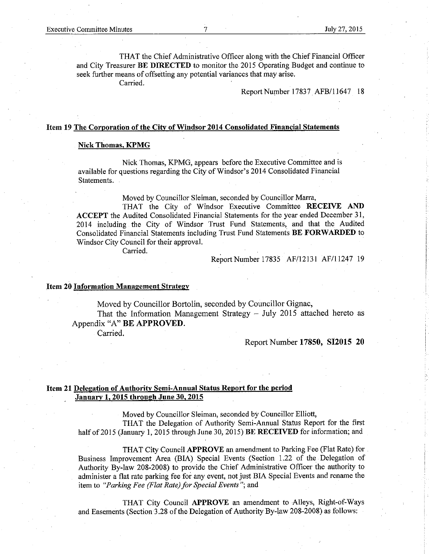TIIAT the Chief Administrative Officer along with the Chief Financial Officer and City Treasurer BE DIRECTED to monitor the 2015 Operating Budget and continue to seek further means of offsetting any potential variances that may arise.

Carried.

Report Number 17837 AFB/11647 18

## Item 19 The Corporation of the City of Windsor 2014 Consolidated Financial Statements

## Nick Thomâs. KPMG

Nick Thomas, KPMG, appears before the Executive Committee and is available for questions regarding the City of Windsor's 2014 Consolidated Financial Statements.

Moved by Councillor Sleiman, seconded by Councillor Marra,

THAT the City of Windsor Executive Committee RECEIVE AND ACCEPT the Audited Consolidated Financial Statements for the year ended December 31, 2014 including the City of Windsor Trust Fund Statements, and that the Audited Consolidated Financial Statements including Trust Fund Statements BE FORWARDED to Windsor City Council for their approval.

carried

Report Number 17835 AF/12131 AF/11247 19

#### Item 20 Information Management Strategy

Moved by Councillor Bortolin, seconded by Counciilor Gignac,

That the Information Management Strategy  $-$  July 2015 attached hereto as Appendix "4" BE APPROVED.

Carried.

## Report Number 17850, SI2015 20

# Item 21 Delegation of Authority Semi-Annual Status Report for the period January 1.2015 throueh June 30.2015

Moved by Councillor Sleiman, seconded by Councillor Elliott, TIIAT the Delegation of Authority Semi-Annual Status Report for the first half of 2015 (January 1, 2015 through June 30, 2015) BE RECEIVED for information; and

THAT City Council **APPROVE** an amendment to Parking Fee (Flat Rate) for Business Improvement Area (BIA) Special Events (Section 1.22 of the Delegation of Authority By-law 208-2008) to provide the Chief Administrative Officer the authority to administer a flat rate parking fee for any event, not just BIA Special Events and rename the item to "Parking Fee (Flat Rate) for Special Events "; and

THAT City Council APPROVE an amendment to Alleys, Right-of-Ways and Easements (Section 3.28 of the Delegation of Authority By-law 208-2008) as follows: